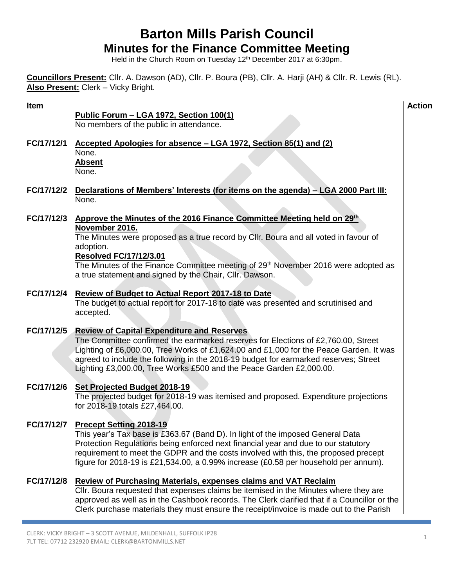## **Barton Mills Parish Council Minutes for the Finance Committee Meeting**

Held in the Church Room on Tuesday 12<sup>th</sup> December 2017 at 6:30pm.

**Councillors Present:** Cllr. A. Dawson (AD), Cllr. P. Boura (PB), Cllr. A. Harji (AH) & Cllr. R. Lewis (RL). **Also Present:** Clerk – Vicky Bright.

| Item       |                                                                                                                                                                                | <b>Action</b> |
|------------|--------------------------------------------------------------------------------------------------------------------------------------------------------------------------------|---------------|
|            | Public Forum - LGA 1972, Section 100(1)<br>No members of the public in attendance.                                                                                             |               |
|            |                                                                                                                                                                                |               |
| FC/17/12/1 | Accepted Apologies for absence - LGA 1972, Section 85(1) and (2)                                                                                                               |               |
|            | None.                                                                                                                                                                          |               |
|            | <b>Absent</b><br>None.                                                                                                                                                         |               |
|            |                                                                                                                                                                                |               |
| FC/17/12/2 | Declarations of Members' Interests (for items on the agenda) - LGA 2000 Part III:<br>None.                                                                                     |               |
|            |                                                                                                                                                                                |               |
| FC/17/12/3 | Approve the Minutes of the 2016 Finance Committee Meeting held on 29th                                                                                                         |               |
|            | November 2016.<br>The Minutes were proposed as a true record by Cllr. Boura and all voted in favour of                                                                         |               |
|            | adoption.                                                                                                                                                                      |               |
|            | <b>Resolved FC/17/12/3.01</b>                                                                                                                                                  |               |
|            | The Minutes of the Finance Committee meeting of 29 <sup>th</sup> November 2016 were adopted as                                                                                 |               |
|            | a true statement and signed by the Chair, Cllr. Dawson.                                                                                                                        |               |
| FC/17/12/4 | <b>Review of Budget to Actual Report 2017-18 to Date</b>                                                                                                                       |               |
|            | The budget to actual report for 2017-18 to date was presented and scrutinised and                                                                                              |               |
|            | accepted.                                                                                                                                                                      |               |
| FC/17/12/5 | <b>Review of Capital Expenditure and Reserves</b>                                                                                                                              |               |
|            | The Committee confirmed the earmarked reserves for Elections of £2,760.00, Street                                                                                              |               |
|            | Lighting of £6,000.00, Tree Works of £1,624.00 and £1,000 for the Peace Garden. It was<br>agreed to include the following in the 2018-19 budget for earmarked reserves; Street |               |
|            | Lighting £3,000.00, Tree Works £500 and the Peace Garden £2,000.00.                                                                                                            |               |
|            |                                                                                                                                                                                |               |
| FC/17/12/6 | Set Projected Budget 2018-19<br>The projected budget for 2018-19 was itemised and proposed. Expenditure projections                                                            |               |
|            | for 2018-19 totals £27,464.00.                                                                                                                                                 |               |
|            |                                                                                                                                                                                |               |
| FC/17/12/7 | <b>Precept Setting 2018-19</b><br>This year's Tax base is £363.67 (Band D). In light of the imposed General Data                                                               |               |
|            | Protection Regulations being enforced next financial year and due to our statutory                                                                                             |               |
|            | requirement to meet the GDPR and the costs involved with this, the proposed precept                                                                                            |               |
|            | figure for 2018-19 is £21,534.00, a 0.99% increase (£0.58 per household per annum).                                                                                            |               |
| FC/17/12/8 | <b>Review of Purchasing Materials, expenses claims and VAT Reclaim</b>                                                                                                         |               |
|            | Cllr. Boura requested that expenses claims be itemised in the Minutes where they are                                                                                           |               |
|            | approved as well as in the Cashbook records. The Clerk clarified that if a Councillor or the                                                                                   |               |
|            | Clerk purchase materials they must ensure the receipt/invoice is made out to the Parish                                                                                        |               |